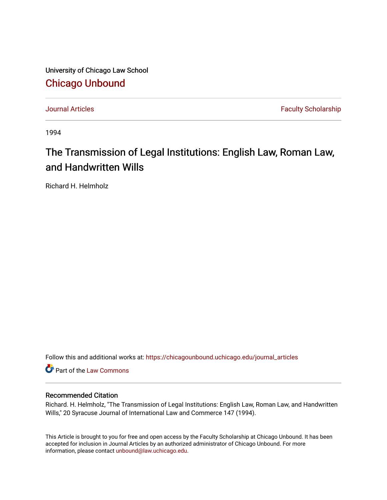University of Chicago Law School [Chicago Unbound](https://chicagounbound.uchicago.edu/)

[Journal Articles](https://chicagounbound.uchicago.edu/journal_articles) **Faculty Scholarship Journal Articles** 

1994

# The Transmission of Legal Institutions: English Law, Roman Law, and Handwritten Wills

Richard H. Helmholz

Follow this and additional works at: [https://chicagounbound.uchicago.edu/journal\\_articles](https://chicagounbound.uchicago.edu/journal_articles?utm_source=chicagounbound.uchicago.edu%2Fjournal_articles%2F1494&utm_medium=PDF&utm_campaign=PDFCoverPages) 

Part of the [Law Commons](http://network.bepress.com/hgg/discipline/578?utm_source=chicagounbound.uchicago.edu%2Fjournal_articles%2F1494&utm_medium=PDF&utm_campaign=PDFCoverPages)

### Recommended Citation

Richard. H. Helmholz, "The Transmission of Legal Institutions: English Law, Roman Law, and Handwritten Wills," 20 Syracuse Journal of International Law and Commerce 147 (1994).

This Article is brought to you for free and open access by the Faculty Scholarship at Chicago Unbound. It has been accepted for inclusion in Journal Articles by an authorized administrator of Chicago Unbound. For more information, please contact [unbound@law.uchicago.edu](mailto:unbound@law.uchicago.edu).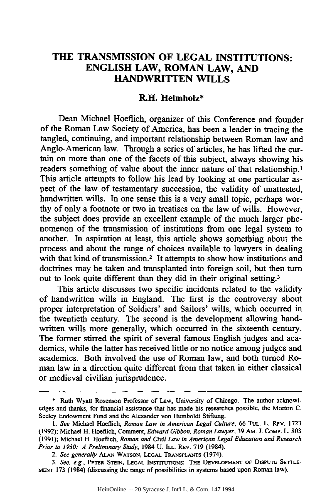## **THE TRANSMISSION OF LEGAL INSTITUTIONS: ENGLISH LAW, ROMAN LAW, AND HANDWRITTEN WILLS**

#### **R.H. Helmholz\***

Dean Michael Hoeflich, organizer of this Conference and founder of the Roman Law Society of America, has been a leader in tracing the tangled, continuing, and important relationship between Roman law and Anglo-American law. Through a series of articles, he has lifted the curtain on more than one of the facets of this subject, always showing his readers something of value about the inner nature of that relationship.' This article attempts to follow his lead by looking at one particular aspect of the law of testamentary succession, the validity of unattested, handwritten wills. In one sense this is a very small topic, perhaps worthy of only a footnote or two in treatises on the law of wills. However, the subject does provide an excellent example of the much larger phenomenon of the transmission of institutions from one legal system to another. In aspiration at least, this article shows something about the process and about the range of choices available to lawyers in dealing with that kind of transmission.<sup>2</sup> It attempts to show how institutions and doctrines may be taken and transplanted into foreign soil, but then turn out to look quite different than they did in their original setting.<sup>3</sup>

This article discusses two specific incidents related to the validity of handwritten wills in England. The first is the controversy about proper interpretation of Soldiers' and Sailors' wills, which occurred in the twentieth century. The second is the development allowing handwritten wills more generally, which occurred in the sixteenth century. The former stirred the spirit of several famous English judges and academics, while the latter has received little or no notice among judges and academics. Both involved the use of Roman law, and both turned Roman law in a direction quite different from that taken in either classical or medieval civilian jurisprudence.

<sup>\*</sup> Ruth Wyatt Rosenson Professor of Law, University of Chicago. The author acknowledges and thanks, for financial assistance that has made his researches possible, the Morton C. Seeley Endowment Fund and the Alexander von Humboldt Stiftung.

<sup>1.</sup> See Michael Hoeflich, *Roman Law in American Legal Culture*, 66 TuL. L. REV. 1723 (1992); Michael H. Hoeflich, Comment, *Edward Gibbon, Roman Lawyer,* 39 Am. J. CoMP. L. 803 (1991); Michael H. Hoeflich, *Roman and Civil Law in American Legal Education and Research Prior to 1930: A Preliminary Study,* 1984 U. ILL. REV. 719 (1984).

*<sup>2.</sup> See generally ALAN* WATSON, **LEGAL TRANSPLANTS** (1974).

<sup>3.</sup> See, e.g., PETER STEIN, LEGAL INSTITUTIONS: THE DEVELOPMENT OF DISPUTE SETTLE-MENT 173 (1984) (discussing the range of possibilities in systems based upon Roman law).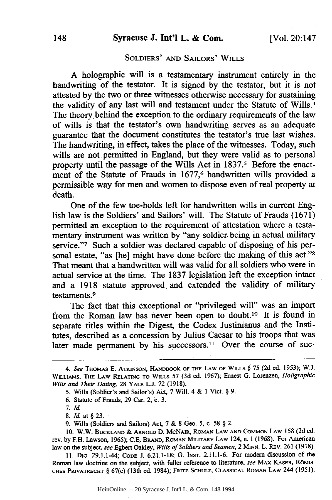### SOLDIERS' **AND** SAILORS' WILLS

A holographic will is a testamentary instrument entirely in the handwriting of the testator. It is signed by the testator, but it is not attested by the two or three witnesses otherwise necessary for sustaining the validity of any last will and testament under the Statute of Wills.<sup>4</sup> The theory behind the exception to the ordinary requirements of the law of wills is that the testator's own handwriting serves as an adequate guarantee that the document constitutes the testator's true last wishes. The handwriting, in effect, takes the place of the witnesses. Today, such wills are not permitted in England, but they were valid as to personal property until the passage of the Wills Act in 1837.<sup>5</sup> Before the enactment of the Statute of Frauds in 1677,<sup>6</sup> handwritten wills provided a permissible way for men and women to dispose even of real property at death.

One of the few toe-holds left for handwritten wills in current English law is the Soldiers' and Sailors' will. The Statute of Frauds (1671) permitted an exception to the requirement of attestation where a testamentary instrument was written by "any soldier being in actual military service."<sup>7</sup> Such a soldier was declared capable of disposing of his personal estate, "as [he] might have done before the making of this act."8 That meant that a handwritten will was valid for all soldiers who were in actual service at the time. The 1837 legislation left the exception intact and a 1918 statute approved and extended the validity of military testaments.<sup>9</sup>

The fact that this exceptional or "privileged will" was an import from the Roman law has never been open to doubt.10 It is found in separate titles within the Digest, the Codex Justinianus and the Institutes, described as a concession by Julius Caesar to his troops that was later made permanent by his successors.<sup>11</sup> Over the course of suc-

8. *Id.* at **§** 23.

10. W.W. **BUCKLAND** & **ARNOLD** D. McNAR, ROMAN LAW **AND** COMMON LAW 158 (2d ed. rev. by F.H. Lawson, 1965); C.E. **BRAND,** ROMAN **MILITARY** LAW 124, n. 1 (1968). For American law on the subject, *see* Egbert Oakley, *Wills of Soldiers and Seamen,* 2 **MINN.** L. REV. 261 (1918).

11. DIG. 29.1.1-44; CODE J. 6.21.1-18; G. INST. 2.11.1-6. For modern discussion of the Roman law doctrine on the subject, with fuller reference to literature, *see* MAX KASER, **ROMIScHEs PRIvATRcHT §** 67(c) (13th ed. 1984); FRITz **SCHULZ,** CLASSICAL ROMAN LAW 244 (1951).

*<sup>4.</sup> See* THOMAS E. ATKINSON, **HANDBOOK** OF **THE** LAW **OF** WILLS **§ 75** (2d ed. 1953); **W.J. WILLIAMS,** THE LAW RELATING TO **WILLS** 57 (3d ed. 1967); Ernest G. Lorenzen, *Holigraphic Wills and Their Dating,* 28 YALE L.J. 72 (1918).

<sup>5.</sup> Wills (Soldier's and Sailor's) Act, 7 Will. 4 & 1 Vict. **§** 9.

**<sup>6.</sup>** Statute of Frauds, 29 Car. 2, *b.* 3.

*<sup>7.</sup> Id.*

**<sup>9.</sup>** Wills (Soldiers and Sailors) Act, 7 & 8 Geo. 5, c. 58 **§** 2.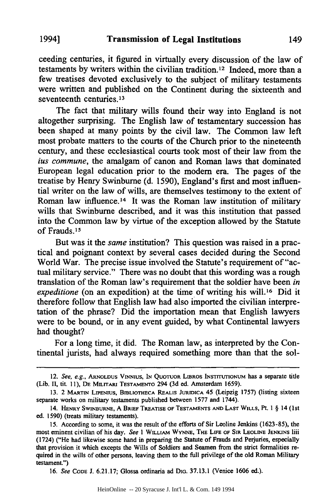ceeding centuries, it figured in virtually every discussion of the law of testaments by writers within the civilian tradition.<sup>12</sup> Indeed, more than a few treatises devoted exclusively to the subject of military testaments were written and published on the Continent during the sixteenth and seventeenth centuries.<sup>13</sup>

The fact that military wills found their way into England is not altogether surprising. The English law of testamentary succession has been shaped at many points by the civil law. The Common law left most probate matters to the courts of the Church prior to the nineteenth century, and these ecclesiastical courts took most of their law from the *ius commune,* the amalgam of canon and Roman laws that dominated European legal education prior to the modem era. The pages of the treatise by Henry Swinbume (d. 1590), England's first and most influential writer on the law of wills, are themselves testimony to the extent of Roman law influence.<sup>14</sup> It was the Roman law institution of military wills that Swinburne described, and it was this institution that passed into the Common law by virtue of the exception allowed by the Statute of Frauds. *<sup>1</sup> <sup>5</sup>*

But was it the *same* institution? This question was raised in a practical and poignant context by several cases decided during the Second World War. The precise issue involved the Statute's requirement of "actual military service." There was no doubt that this wording was a rough translation of the Roman law's requirement that the soldier have been *in expeditione* (on an expedition) at the time of writing his will.<sup>16</sup> Did it therefore follow that English law had also imported the civilian interpretation of the phrase? Did the importation mean that English lawyers were to be bound, or in any event guided, by what Continental lawyers had thought?

For a long time, it did. The Roman law, as interpreted by the Continental jurists, had always required something more than that the sol-

16. See **CODE** J. 6.21.17; Glossa ordinaria ad **DIG.** 37.13.1 (Venice 1606 ed.).

<sup>12.</sup> See, e.g., **ARNOLDUS VINIUS, IN QuoruoR** LiBRos INsTTUTIoNuM has a separate title (Lib. II, tit. 11), **DE** Mn.rrAPi **TESTAMENTO** 294 (3d ed. Amsterdam 1659).

**<sup>13.</sup>** 2 MARTIN **LIPENIUS,** BIBLIOTHECA REALIs **JURIDICA** 45 (Leipzig 1757) (listing sixteen separate works on military testaments published between 1577 and 1744).

<sup>14.</sup> HENRY SWINBURNE, A BRIEF TREATISE OF TESTAMENTS AND LAST WILLS, Pt. 1 § 14 (1st ed. 1590) (treats military testaments).

<sup>15.</sup> According to some, it was the result of the efforts of Sir Leoline Jenkins (1623-85), the most eminent civilian of his day. See 1 WILLIAM **WYNNE, THE LIFE OF SIR LEOLINE JENKINS** liii (1724) ("He had likewise some hand in preparing the Statute of Frauds and Perjuries, especially that provision it which excepts the Wills of Soldiers and Seamen from the strict formalities required in the wills of other persons, leaving them to the full privilege of the old Roman Military testament.")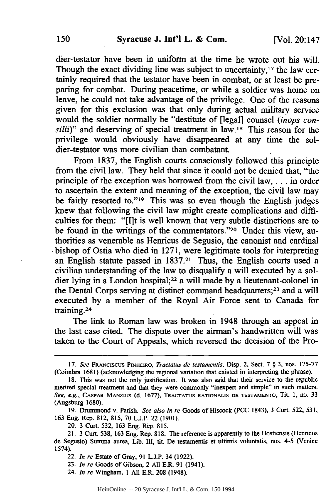dier-testator have been in uniform at the time he wrote out his will. Though the exact dividing line was subject to uncertainty,<sup>17</sup> the law certainly required that the testator have been in combat, or at least be preparing for combat. During peacetime, or while a soldier was home on leave, he could not take advantage of the privilege. One of the reasons given for this exclusion was that only during actual military service would the soldier normally be "destitute of [legal] counsel *(inops consilii*)" and deserving of special treatment in law.<sup>18</sup> This reason for the privilege would obviously have disappeared at any time the soldier-testator was more civilian than combatant.

From 1837, the English courts consciously followed this principle from the civil law. They held that since it could not be denied that, "the principle of the exception was borrowed from the civil law, **...** in order to ascertain the extent and meaning of the exception, the civil law may be fairly resorted to."<sup>19</sup> This was so even though the English judges knew that following the civil law might create complications and difficulties for them: "[I]t is well known that very subtle distinctions are to be found in the writings of the commentators."<sup>20</sup> Under this view, authorities as venerable as Henricus de Segusio, the canonist and cardinal bishop of Ostia who died in 1271, were legitimate tools for interpreting an English statute passed in 1837.21 Thus, the English courts used a civilian understanding of the law to disqualify a will executed by a soldier lying in a London hospital;<sup>22</sup> a will made by a lieutenant-colonel in the Dental Corps serving at distinct command headquarters; 23 and a will executed by a member of the Royal Air Force sent to Canada for training.<sup>24</sup>

The link to Roman law was broken in 1948 through an appeal in the last case cited. The dispute over the airman's handwritten will was taken to the Court of Appeals, which reversed the decision of the Pro-

<sup>17.</sup> See FRANCISCUS PINHEIRO, *Tractatus de testamentis*, Disp. 2, Sect. 7 § 3, nos. 175-77 (Coimbra **1681)** (acknowledging the regional variation that existed in interpreting the phrase).

<sup>18.</sup> This was not the only justification. It was also said that their service to the republic merited special treatment and that they were commonly "inexpert and simple" in such matters. *See, e.g.,* CASPAR **MANZIUS (d. 1677), TRACTATUS RATIONALIS DE** TESTAMENTO, Tit. **1,** no. **33** (Augsburg 1680).

<sup>19.</sup> Drummond v. Parish. *See also In re* Goods of Hiscock (PCC 1843), 3 Curt. 522, 531, 163 Eng. Rep. 812, 815, 70 L.J.P. 22 (1901).

<sup>20. 3</sup> Curt. 532, 163 Eng. Rep. 815.

<sup>21. 3</sup> Curt. 538, 163 Eng. Rep. **818.** The reference is apparently to the Hostiensis (Henricus de Segusio) Summa aurea, Lib. III, tit. De testamentis et ultimis voluntatis, nos. 4-5 (Venice 1574).

<sup>22.</sup> *In re* Estate of Gray, 91 L.J.P. 34 (1922).

<sup>23.</sup> *In re* Goods of Gibson, 2 All E.R. 91 (1941).

<sup>24.</sup> *In re* Wingham, 1 All E.R. 208 (1948).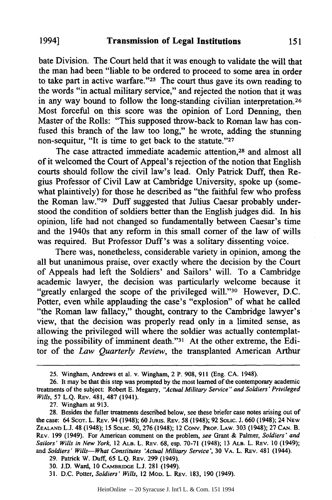bate Division. The Court held that it was enough to validate the will that the man had been "liable to be ordered to proceed to some area in order to take part in active warfare."<sup>25</sup> The court thus gave its own reading to the words "in actual military service," and rejected the notion that it was in any way bound to follow the long-standing civilian interpretation. 26 Most forceful on this score was the opinion of Lord Denning, then Master of the Rolls: "This supposed throw-back to Roman law has confused this branch of the law too long," he wrote, adding the stunning non-sequitur, "It is time to get back to the statute."27

The case attracted immediate academic attention,<sup>28</sup> and almost all of it welcomed the Court of Appeal's rejection of the notion that English courts should follow the civil law's lead. Only Patrick Duff, then Regius Professor of Civil Law at Cambridge University, spoke up (somewhat plaintively) for those he described as "the faithful few who profess the Roman law."<sup>29</sup> Duff suggested that Julius Caesar probably understood the condition of soldiers better than the English judges did. In his opinion, life had not changed so fundamentally between Caesar's time and the 1940s that any reform in this small comer of the law of wills was required. But Professor Duff's was a solitary dissenting voice.

There was, nonetheless, considerable variety in opinion, among the all but unanimous praise, over exactly where the decision by the Court of Appeals had left the Soldiers' and Sailors' will. To a Cambridge academic lawyer, the decision was particularly welcome because it "greatly enlarged the scope of the privileged will."<sup>30</sup> However, D.C. Potter, even while applauding the case's "explosion" of what he called "the Roman law fallacy," thought, contrary to the Cambridge lawyer's view, that the decision was properly read only in a limited sense, as allowing the privileged will where the soldier was actually contemplating the possibility of imminent death."<sup>31</sup> At the other extreme, the Editor of the *Law Quarterly Review,* the transplanted American Arthur

<sup>25.</sup> Wingham, Andrews et al. v. Wingham, 2 P. 908, 911 (Eng. CA. 1948).

<sup>26.</sup> It may be that this step was prompted by the most learned of the contemporary academic treatments of the subject: Robert E. Megarry, *"Actual Military Service" and Soldiers' Privileged Wills, 57 L.Q. REV. 481, 487 (1941).* 

<sup>27.</sup> Wingham at 913.

<sup>28.</sup> Besides the fuller treatments described below, see these briefer case notes arising out of the case: 64 ScoT. L. REv. 94 (1948); 60 JuRIs. REV. 58 (1948); 92 SOLIC. J. 660 (1948); 24 NEw **ZEALAND** L.J. 48 (1948); 15 **SOLIC.** 50, 276 (1948); 12 CoNv. **PROP.** LAW. 303 (1948); 27 **CAN.** B. REV. 199 (1949). For American comment on the problem, *see* Grant & Palmer, *Soldiers' and Sailors' Wills in New York,* 12 ALB. L. REV. 68, esp. 70-71 (1948); 13 ALB. L. REV. **10** (1949); *and Soldiers' Wills-What Constitutes 'Actual Military Service',* 30 VA. L. REv. 481 (1944).

<sup>29.</sup> Patrick W. Duff, 65 L.Q. REv. 299 (1949).

<sup>30.</sup> J.D. Ward, **10** CAMBRIDGE L.J. 281 (1949).

<sup>31.</sup> D.C. Potter, *Soldiers' Wills,* 12 MOD. L. REv. 183, 190 (1949).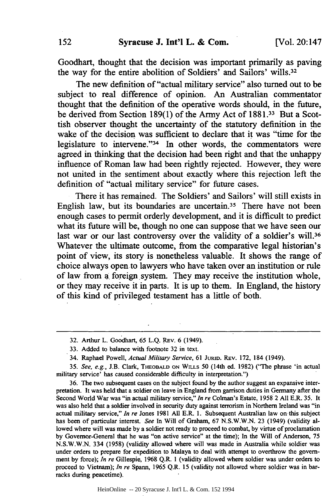Goodhart, thought that the decision was important primarily as paving the way for the entire abolition of Soldiers' and Sailors' wills.32

The new definition of "actual military service" also turned out to be subject to real difference of opinion. An Australian commentator thought that the definition of the operative words should, in the future, be derived from Section 189(1) of the Army Act of 1881.<sup>33</sup> But a Scottish observer thought the uncertainty of the statutory definition in the wake of the decision was sufficient to declare that it was "time for the legislature to intervene."<sup>34</sup> In other words, the commentators were agreed in thinking that the decision had been right and that the unhappy influence of Roman law had been rightly rejected. However, they were not united in the sentiment about exactly where this rejection left the definition of "actual military service" for future cases.

There it has remained. The Soldiers' and Sailors' will still exists in English law, but its boundaries are uncertain.<sup>35</sup> There have not been enough cases to permit orderly development, and it is difficult to predict what its future will be, though no one can suppose that we have seen our last war or our last controversy over the validity of a soldier's will.36 Whatever the ultimate outcome, from the comparative legal historian's point of view, its story is nonetheless valuable. It shows the range of choice always open to lawyers who have taken over an institution or rule of law from a foreign system. They may receive the institution whole, or they may receive it in parts. It is up to them. In England, the history of this kind of privileged testament has a little of both.

36. The two subsequent cases on the subject found by the author suggest an expansive interpretation. It was held that a soldier on leave in England from garrison duties in Germany after the Second World War was "in actual military service," *In re* Colman's Estate, 1958 2 All E.R. 35. It was also held that **a** soldier involved in security duty against terrorism in Northern Ireland was "in actual military service," *In re* Jones 1981 All E.R. 1. Subsequent Australian law on-this subject has been of particular interest. *See* In Will of Graham, 67 N.S.W.W.N. 23 (1949) (validity allowed where will was made by a soldier not ready to proceed to combat, by virtue of proclamation by Governor-General that he was "on active service" at the time); In the Will of Anderson, 75 N.S.W.W.N. 334 (1958) (validity allowed where will was made in Australia while soldier was under orders to prepare for expedition to Malaya to deal with attempt to overthrow the government by force); *In re* Gillespie, 1968 Q.R. 1 (validity allowed where soldier was under orders to proceed to Vietnam); *In re* Spann, 1965 Q.R. 15 (validity not allowed where soldier was in barracks during peacetime).

<sup>32.</sup> Arthur L. Goodhart, 65 L.Q. REV. 6 (1949).

<sup>33.</sup> Added to balance with footnote 32 in text.

<sup>34.</sup> Raphael Powell, *Actual Military Service,* 61 **JURID.** Rav. 172, 184 (1949).

*<sup>35.</sup> See, e.g.,* J.B. Clark, **THEOBALD ON** WILLS 50 (14th ed. 1982) ("The phrase 'in actual military service' has caused considerable difficulty in interpretation.")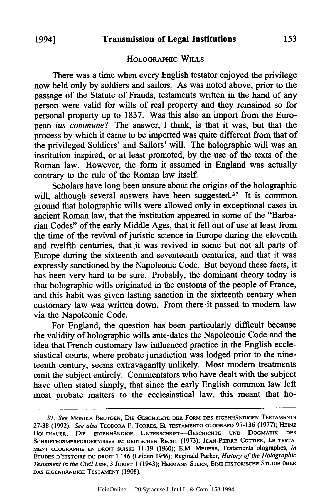#### HOLOGRAPHIC WILLS

There was a time when every English testator enjoyed the privilege now held only **by** soldiers and sailors. As was noted above, prior to the passage of the Statute of Frauds, testaments written in the hand of any person were valid for wills of real property and they remained so for personal property up to 1837. Was this also an import from the European *ius commune?* The answer, I think, is that it was, but that the process **by** which it came to be imported was quite different from that of the privileged Soldiers' and Sailors' will. The holographic will was an institution inspired, or at least promoted, **by** the use of the texts of the Roman law. However, the form it assumed in England was actually contrary to the rule of the Roman law itself.

Scholars have long been unsure about the origins of the holographic will, although several answers have been suggested.<sup>37</sup> It is common ground that holographic wills were allowed only in exceptional cases in ancient Roman law, that the institution appeared in some of the "Barbarian Codes" of the early Middle Ages, that it fell out of use at least from the time of the revival of juristic science in Europe during the eleventh and twelfth centuries, that it was revived in some but not all parts of Europe during the sixteenth and seventeenth centuries, and that it was expressly sanctioned **by** the Napoleonic Code. But beyond these facts, it has been very hard to be sure. Probably, the dominant theory today is that holographic wills originated in the customs of the people of France, and this habit was given lasting sanction in the sixteenth century when customary law was written down. From there it passed to modern law via the Napoleonic Code.

For England, the question has been particularly difficult because the validity of holographic wills ante-dates the Napoleonic Code and the idea that French customary law influenced practice in the English ecclesiastical courts, where probate jurisdiction was lodged prior to the nineteenth century, seems extravagantly unlikely. Most modem treatments omit the subject entirely. Commentators who have dealt with the subject have often stated simply, that since the early English common law left most probate matters to the ecclesiastical law, this meant that ho-

**<sup>37.</sup>** *See* MoNIKA **BEUTGEN, DIE GESCHICHTE DER FoRM DES EIGENHANDIGEN TESTAMENTS 27-38 (1992).** *See also* TEODORA F. ToRREs, **EL TESTAMENTo OLcGRAFO 97-136 (1977);** HENz **HOLZHAUER, DIE EIGENHANDIGE UNTERSCHRIFT--GESCHICHTE uND DOGMATIK DES** SCHRIFTFORMERFORDERNISSES **IM DEUTSCHEN RECHT (1973); JEAN-PIERRE** COTTER, **LE TESTA-MENT** OLOGRAPHIE **EN** DROIT **SUISSE 11-19** (1960); E.M. METERS, Testaments olographes, *in* **ETUDES** D'HISTOIRE **DU** DRorr **1** 146 (Leiden 1956); Reginald Parker, *History of the Holographic Testament in the Civil Law,* 3 **JURIST 1** (1943); HERMANN **STERN,** EiNE **HISTORISCHE STUDIE** OBER das eigenhändige Testament (1908).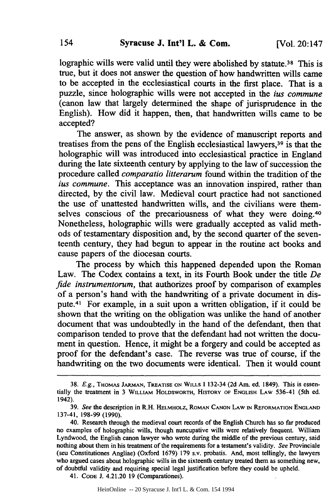[Vol. 20:147

lographic wills were valid until they were abolished by statute.38 This **is** true, but it does not answer the question of how handwritten wills came to be accepted in the ecclesiastical courts in the first place. That is a puzzle, since holographic wills were not accepted in the ius *commune* (canon law that largely determined the shape of jurisprudence in the English). How did it happen, then, that handwritten wills came to be accepted?

The answer, as shown by the evidence of manuscript reports and treatises from the pens of the English ecclesiastical lawyers, 39 is that the holographic will was introduced into ecclesiastical practice in England during the late sixteenth century by applying to the law of succession the procedure called *comparatio litterarum* found within the tradition of the ius *commune.* This acceptance was an innovation inspired, rather than directed, by the civil law. Medieval court practice had not sanctioned the use of unattested handwritten wills, and the civilians were themselves conscious of the precariousness of what they were doing.<sup>40</sup> Nonetheless, holographic wills were gradually accepted as valid methods of testamentary disposition and, by the second quarter of the seventeenth century, they had begun to appear in the routine act books and cause papers of the diocesan courts.

The process by which this happened depended upon the Roman Law. The Codex contains a text, in its Fourth Book under the title *De fide instrumentorum,* that authorizes proof by comparison of examples of a person's hand with the handwriting of a private document in dispute.41 For example, in a suit upon a written obligation, if it could be shown that the writing on the obligation was unlike the hand of another document that was undoubtedly in the hand of the defendant, then that comparison tended to prove that the defendant had not written the document in question. Hence, it might be a forgery and could be accepted as proof for the defendant's case. The reverse was true of course, if the handwriting on the two documents were identical. Then it would count

41. **CODE** J. 4.21.20 19 (Comparationes).

**<sup>38.</sup>** E.g., **THOMAS JARMAN,** TREATISE **ON WILLS** 1 132-34 **(2d** Am. ed. 1849). This is essentially the treatment in 3 **WILLIAM** HOLDSWORTH, HISTORY **OF ENGLISH** LAW 536-41 (5th ed. 1942).

<sup>39.</sup> See the description in R.H. HELMHOLZ, **ROMAN CANON LAW IN REFORMATION ENGLAND** 137-41, 198-99 (1990).

<sup>40.</sup> Research through the medieval court records of the English Church has so far produced no examples of holographic wills, though nuncupative wills were relatively frequent. William Lyndwood, the English canon lawyer who wrote during the middle of the previous century, said nothing about them in his treatment of the requirements for a testament's validity. See Provinciale (seu Constitutiones Angliae) (Oxford 1679) 179 s.v. probatis. And, most tellingly, the lawyers who argued cases about holographic wills in the sixteenth century treated them as something new, of doubtfil validity and requiring special legal justification before they could be upheld.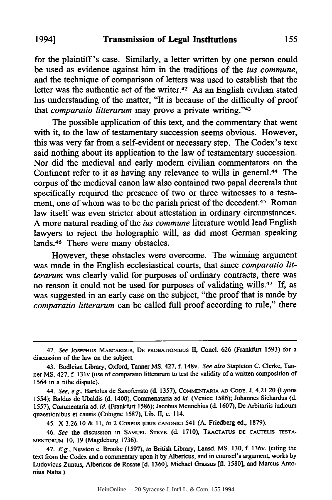1994]

for the plaintiff's case. Similarly, a letter written by one person could be used as evidence against him in the traditions of the *ius commune,* and the technique of comparison of letters was used to establish that the letter was the authentic act of the writer.<sup>42</sup> As an English civilian stated his understanding of the matter, "It is because of the difficulty of proof that *comparatio litterarum* may prove a private writing. '43

The possible application of this text, and the commentary that went with it, to the law of testamentary succession seems obvious. However, this was very far from a self-evident or necessary step. The Codex's text said nothing about its application to the law of testamentary succession. Nor did the medieval and early modem civilian commentators on the Continent refer to it as having any relevance to wills in general.<sup>44</sup> The corpus of the medieval canon law also contained two papal decretals that specifically required the presence of two or three witnesses to a testament, one of whom was to be the parish priest of the decedent.<sup>45</sup> Roman law itself was even stricter about attestation in ordinary circumstances. A more natural reading of the ius *commune* literature would lead English lawyers to reject the holographic will, as did most German speaking lands.<sup>46</sup> There were many obstacles.

However, these obstacles were overcome. The winning argument was made in the English ecclesiastical courts, that since *comparatio litterarum* was clearly valid for purposes of ordinary contracts, there was no reason it could not be used for purposes of validating wills.<sup>47</sup> If, as was suggested in an early case on the subject, "the proof that is made by *comparatio litterarum* can be called full proof according to rule," there

155

<sup>42.</sup> *See* JOSEPHUS MASCARDUS, **DE** PROBATIONIBUS II, Concl. **626** (Frankfurt 1593) for a discussion of the law on the subject.

<sup>43.</sup> Bodleian Library, Oxford, Tanner MS. 427, f. 148v. *See also* Stapleton C. Clerke, Tanner MS. 427, f. 131v (use of comparatio litterarum to test the validity of a written composition of 1564 in a tithe dispute).

*<sup>44.</sup> See, e.g.,* Bartolus de Saxoferrato (d. 1357), CoMmrErIA **AD CODE.** J. 4.21.20 (Lyons 1554); Baldus de Ubaldis (d. 1400), Commenataria ad *id.* (Venice 1586); Johannes Sichardus (d. 1557), Commentaria ad. id. (Frankfurt 1586); Jacobus Menochius **(d.** 1607), De Arbitariis iudicum quaestionibus et causis (Cologne 1587), Lib. II, c. 114.

<sup>45.</sup> X 3.26.10 & 11, *in* 2 **CoRPus URIS CANONICi** 541 (A. Friedberg ed., 1879).

<sup>46.</sup> *See* the discussion in **SAMUEL STRYK (d. 1710), TRACrATuS DE CAUTELIS TESTA-MENTORUM 10,** 19 (Magdeburg 1736).

<sup>47.</sup> *E.g.,* Newton c. Brooke (1597), *in* British Library, Lansd. MS. 130, f. 136v. (citing the text from the Codex and a commentary upon it by Albericus, and in counsel's argument, works by Ludovicus Zuntus, Albericus de Rosate **[d.** 1360], Michael Grassus **[fl.** 1580], and Marcus Antonius Natta.)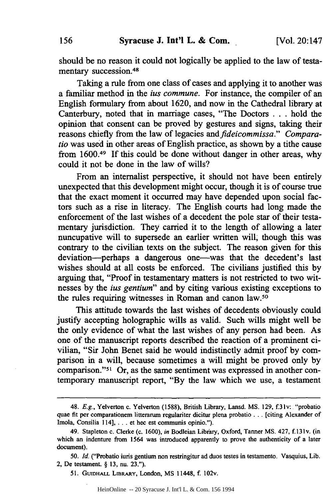should be no reason it could not logically be applied to the law of testamentary succession.<sup>48</sup>

Taking a rule from one class of cases and applying it to another was a familiar method *in* the ius *commune.* For instance, the compiler of an English formulary from about **1620,** and now in the Cathedral library at Canterbury, noted that in marriage cases, "The Doctors **...**hold the opinion that consent can be proved **by** gestures and signs, taking their reasons chiefly from the law of legacies and *fideicommissa.*" Compara*tio* was used in other areas of English practice, as shown by a tithe cause from 1600.49 If this could be done without danger in other areas, why could it not be done in the law of wills?

From an internalist perspective, it should not have been entirely unexpected that this development might occur, though it is of course true that the exact moment it occurred may have depended upon social factors such as a rise in literacy. The English courts had long made the enforcement of the last wishes of a decedent the pole star of their testamentary jurisdiction. They carried it to the length of allowing a later nuncupative will to supersede an earlier written will; though this was contrary to the civilian texts on the subject. The reason given for this deviation-perhaps a dangerous one-was that the decedent's last wishes should at all costs be enforced. The civilians justified this by arguing that, "Proof in testamentary matters is not restricted to two witnesses by the ius *gentium"* and by citing various existing exceptions to the rules requiring witnesses in Roman and canon law.<sup>50</sup>

This attitude towards the last wishes of decedents obviously could justify accepting holographic wills as valid. Such wills might well be the only evidence of what the last wishes of any person had been. As one of the manuscript reports described the reaction of a prominent civilian, "Sir John Benet said he would indistinctly admit proof by comparison in a will, because sometimes a will might be proved only by comparison."<sup>51</sup> Or, as the same sentiment was expressed in another contemporary manuscript report, "By the law which we use, a testament

<sup>48.</sup> *E.g.,* Yelverton c. Yelverton (1588), British Library, Lansd. MS. 129, f.3 Iv: "probatio quae fit per comparationern litterarum regulariter dicitur plena probatio **. .** . [citing Alexander of Imola, Consilia 114], .. . et **hec** est communis opinio.").

<sup>49.</sup> Stapleton c. Clerke (c. 1600), in Bodleian Library, Oxford, Tanner MS. 427, f. 13 **1v.** (in which an indenture from 1564 was introduced apparently to prove the authenticity of a later document).

<sup>50.</sup> *Id.* ("Probatio iuris gentiun non restringitur ad duos testes in testamento. Vasquius, Lib. 2, De testament. § 13, nu. 23.").

<sup>51.</sup> **GUIDHALL LiBRARY,** London, MS 11448, f. 102v.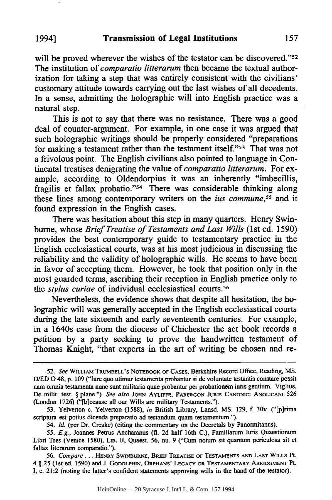157

will be proved wherever the wishes of the testator can be discovered."<sup>52</sup> The institution of *comparatio litterarum* then became the textual authorization for taking a step that was entirely consistent with the civilians' customary attitude towards carrying out the last wishes of all decedents. In a sense, admitting the holographic will into English practice was a natural step.

This is not to say that there was no resistance. There was a good deal of counter-argument. For example, in one case it was argued that such holographic writings should be properly considered "preparations for making a testament rather than the testament itself."'53 That was not a frivolous point. The English civilians also pointed to language in Continental treatises denigrating the value of *comparatio litterarum.* For example, according to Oldendorpius it was an inherently "imbecillis, fragilis et fallax probatio."<sup>54</sup> There was considerable thinking along these lines among contemporary writers on the *ius commune,5 <sup>5</sup>*and it found expression in the English cases.

There was hesitation about this step in many quarters. Henry Swinburne, whose *Brief Treatise of Testaments and Last Wills* (1st ed. 1590) provides the best contemporary guide to testamentary practice in the English ecclesiastical courts, was at his most judicious in discussing the reliability and the validity of holographic wills. He seems to have been in favor of accepting them. However, he took that position only in the most guarded terms, ascribing their reception in English practice only to *the stylus curiae* of individual ecclesiastical courts. <sup>56</sup>

Nevertheless, the evidence shows that despite all hesitation, the holographic will was generally accepted in the English ecclesiastical courts during the late sixteenth and early seventeenth centuries. For example, in a 1640s case from the diocese of Chichester the act book records a petition **by** a party seeking to prove the handwritten testament of Thomas Knight, "that experts in the art of writing be chosen and re-

<sup>52.</sup> *See* WILLIAM TRUMBELL'S NOTEBOOK OF CASES, Berkshire Record Office, Reading, MS. **D/ED 0** 48, p. **109** ("lure quo utimur testamenta probantur si de voluntate testantis constare possit nam omnia testamenta nunc sunt militaria quae probantur per probationem iuris gentium. Viglius, De milit. test. § plane.") *See also* JOHN **AYLIFFE,** PARERGON **JURiS** CANONICI ANGLICANi 526 (London **1726)** ("[b]ecause all our Wills are military Testaments.").

<sup>53.</sup> Yelverton c. Yelverton (1588), *in* British Library, Lansd. MS. 129, f. 30v. ("[p]rima scriptura est potius dicenda preparatio ad testandum quam testamentum.").

<sup>54.</sup> *Id.* (per Dr. Creake) (citing the commentary on the Decretals **by** Panormitanus).

<sup>55.</sup> *E.g.,* Joannes Petrus Ancharanus **(fl.** 2d half 16th C.), Familiarum luris Quaestionum Libri Tres (Venice 1580), LIB. **II,** Quaest. 56, nu. 9 ("Cum notum sit quantum periculosa sit et fallax literarum comparatio.").

**<sup>56.</sup>** *Compare...* HENRY SwINBuRNE, BRIEF TREATISE **OF** TESTAMENTS **AND LAST** WILLS Pt. 4 § 25 (1st ed. 1590) and J. **GODOLPHIN,** ORPHANS' **LEGACY** OR TESTAMENTARY **ABRIDGMENT** Pt. I, c. 21:2 (noting the latter's confident statements approving wills in the hand of the testator).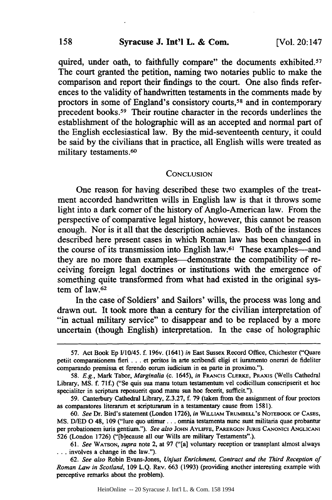[Vol. 20:147

quired, under oath, to faithfully compare" the documents exhibited.<sup>57</sup> The court granted the petition, naming two notaries public to make the comparison and report their findings to the court. One also finds references to the validity of handwritten testaments in the comments made by proctors in some of England's consistory courts,<sup>58</sup> and in contemporary precedent books.59 Their routine character in the records underlines the establishment of the holographic will as an accepted and normal part of the English ecclesiastical law. By the mid-seventeenth century, it could be said by the civilians that in practice, all English wills were treated as military testaments.<sup>60</sup>

#### CONCLUSION

One reason for having described these two examples of the treatment accorded handwritten wills in English law is that it throws some light into a dark comer of the history of Anglo-American law. From the perspective of comparative legal history, however, this cannot be reason enough. Nor is it all that the description achieves. Both of the instances described here present cases in which Roman law has been changed in the course of its transmission into English law.<sup>61</sup> These examples—and they are no more than examples—demonstrate the compatibility of receiving foreign legal doctrines or institutions with the emergence of something quite transformed from what had existed in the original system of law.<sup>62</sup>

In the case of Soldiers' and Sailors' wills, the process was long and drawn out. It took more than a century for the civilian interpretation of "in actual military service" to disappear and to be replaced by a more uncertain (though English) interpretation. In the case of holographic

<sup>57.</sup> Act Book Ep 1/10/45. f. 196v. (1641) *in* East Sussex Record Office, Chichester ("Quare petiit comparationem fieri **...** et peritos in arte scribendi eligi et iuramento onerari de fideliter comparando premissa et ferendo eorum iudicium in ea parte in proximo.").

<sup>58.</sup> *E.g.,* Mark Tabor, *Marginalia* (c. 1645), *in* FRANcis CLERKE, PRAXIS (Wells Cathedral Library, MS. f. **71f.)** ("Se quis sua manu totum testamentum vel codicillum conscripserit et hoc specialiter in scriptura reposuerit quod manu sua hoc fecerit, sufficit.").

<sup>59.</sup> Canterbury Cathedral Library, Z.3.27, **f.** 79 (taken from the assignment of four proctors as comparatores literarum et scripturanm in a testamentary cause from 1581).

<sup>60.</sup> *See* Dr. Bird's statement (London 1726), *in* WnLiAm TRUMBELL'S NOTEBOOK OF CASES, MS. D/ED **0** 48, 109 ("lure quo utimur **...** omnia testamenta nunc sunt militaria quae probantur per probationem iuris gentium."). *See also* JOHN AYLIFFE, PARERGON JURIS CANONICI ANGLICANi 526 (London 1726) ("[b]ecause all our Wills are military Testaments".).

<sup>61.</sup> *See* WATSON, *supra* note 2, at 97 ("[a] voluntary reception or transplant almost always **...** involves a change in the law.").

<sup>62.</sup> *See also* Robin Evans-Jones, *Unjust Enrichment, Contract and the Third Reception of Roman Law in Scotland,* 109 L.Q. REV. 663 (1993) (providing another interesting example with perceptive remarks about the problem).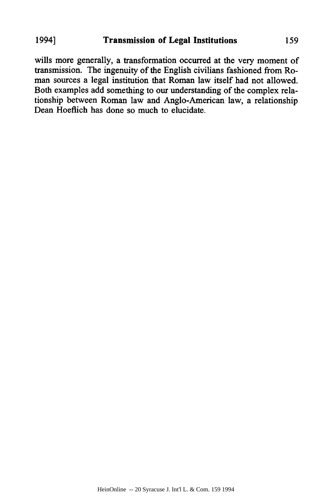wills more generally, a transformation occurred at the very moment of transmission. The ingenuity of the English civilians fashioned from Roman sources a legal institution that Roman law itself had not allowed. Both examples add something to our understanding of the complex relationship between Roman law and Anglo-American law, a relationship Dean Hoeflich has done so much to elucidate.